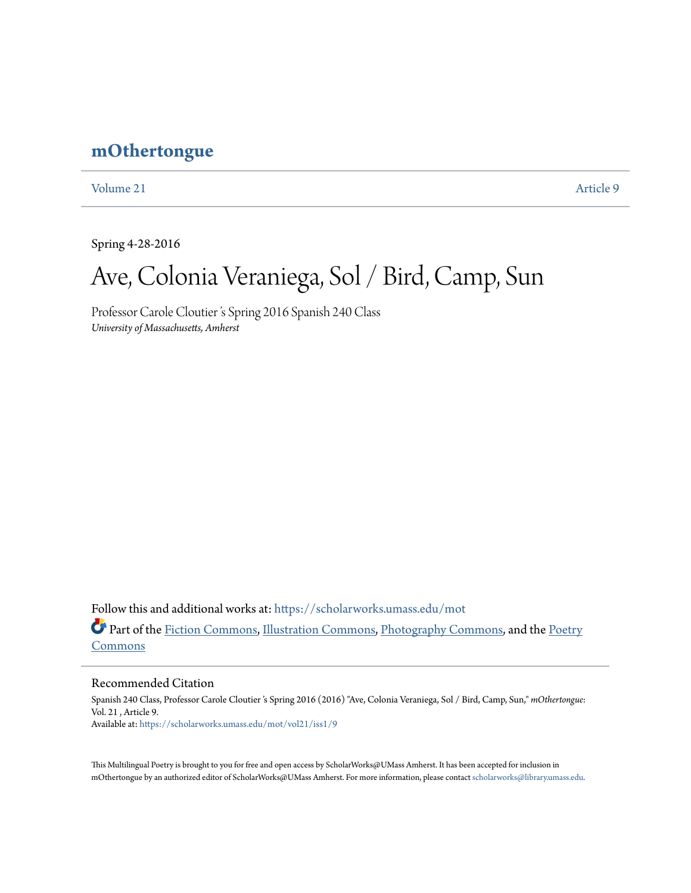## **[mOthertongue](https://scholarworks.umass.edu/mot?utm_source=scholarworks.umass.edu%2Fmot%2Fvol21%2Fiss1%2F9&utm_medium=PDF&utm_campaign=PDFCoverPages)**

[Volume 21](https://scholarworks.umass.edu/mot/vol21?utm_source=scholarworks.umass.edu%2Fmot%2Fvol21%2Fiss1%2F9&utm_medium=PDF&utm_campaign=PDFCoverPages) [Article 9](https://scholarworks.umass.edu/mot/vol21/iss1/9?utm_source=scholarworks.umass.edu%2Fmot%2Fvol21%2Fiss1%2F9&utm_medium=PDF&utm_campaign=PDFCoverPages)

Spring 4-28-2016

# Ave, Colonia Veraniega, Sol / Bird, Camp, Sun

Professor Carole Cloutier 's Spring 2016 Spanish 240 Class *University of Massachusetts, Amherst*

Follow this and additional works at: [https://scholarworks.umass.edu/mot](https://scholarworks.umass.edu/mot?utm_source=scholarworks.umass.edu%2Fmot%2Fvol21%2Fiss1%2F9&utm_medium=PDF&utm_campaign=PDFCoverPages) Part of the [Fiction Commons](http://network.bepress.com/hgg/discipline/1151?utm_source=scholarworks.umass.edu%2Fmot%2Fvol21%2Fiss1%2F9&utm_medium=PDF&utm_campaign=PDFCoverPages), [Illustration Commons,](http://network.bepress.com/hgg/discipline/1135?utm_source=scholarworks.umass.edu%2Fmot%2Fvol21%2Fiss1%2F9&utm_medium=PDF&utm_campaign=PDFCoverPages) [Photography Commons,](http://network.bepress.com/hgg/discipline/1142?utm_source=scholarworks.umass.edu%2Fmot%2Fvol21%2Fiss1%2F9&utm_medium=PDF&utm_campaign=PDFCoverPages) and the [Poetry](http://network.bepress.com/hgg/discipline/1153?utm_source=scholarworks.umass.edu%2Fmot%2Fvol21%2Fiss1%2F9&utm_medium=PDF&utm_campaign=PDFCoverPages) [Commons](http://network.bepress.com/hgg/discipline/1153?utm_source=scholarworks.umass.edu%2Fmot%2Fvol21%2Fiss1%2F9&utm_medium=PDF&utm_campaign=PDFCoverPages)

Recommended Citation

Spanish 240 Class, Professor Carole Cloutier 's Spring 2016 (2016) "Ave, Colonia Veraniega, Sol / Bird, Camp, Sun," *mOthertongue*: Vol. 21 , Article 9. Available at: [https://scholarworks.umass.edu/mot/vol21/iss1/9](https://scholarworks.umass.edu/mot/vol21/iss1/9?utm_source=scholarworks.umass.edu%2Fmot%2Fvol21%2Fiss1%2F9&utm_medium=PDF&utm_campaign=PDFCoverPages)

This Multilingual Poetry is brought to you for free and open access by ScholarWorks@UMass Amherst. It has been accepted for inclusion in mOthertongue by an authorized editor of ScholarWorks@UMass Amherst. For more information, please contact [scholarworks@library.umass.edu](mailto:scholarworks@library.umass.edu).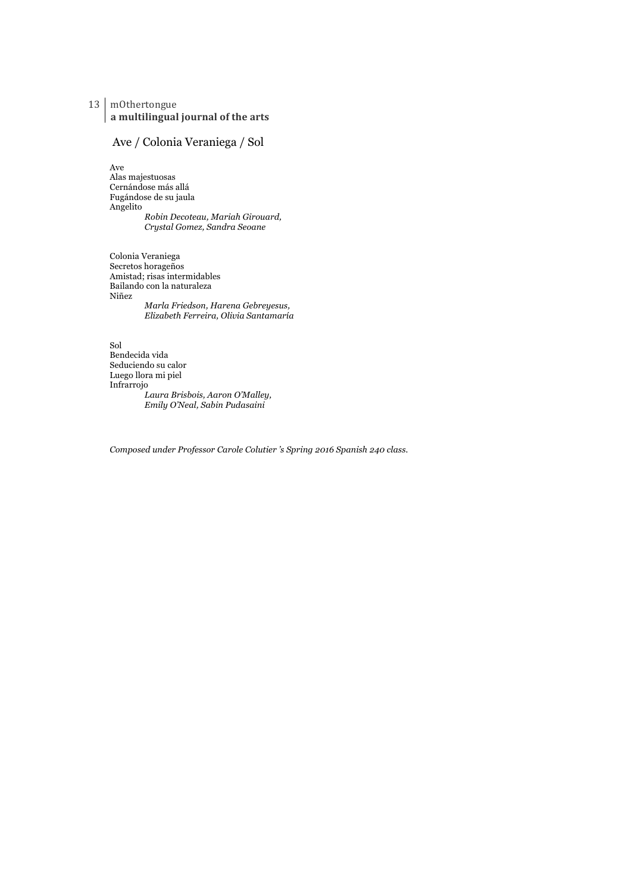13 mOthertongue a multilingual journal of the arts

#### Ave / Colonia Veraniega / Sol

Ave Alas majestuosas Cernándose más allá Fugándose de su jaula Angelito *Robin Decoteau, Mariah Girouard, Crystal Gomez, Sandra Seoane*

Colonia Veraniega Secretos horageños Amistad; risas intermidables Bailando con la naturaleza Niñez *Marla Friedson, Harena Gebreyesus, Elizabeth Ferreira, Olivia Santamaría*

Sol Bendecida vida Seduciendo su calor Luego llora mi piel Infrarrojo *Laura Brisbois, Aaron O'Malley, Emily O'Neal, Sabin Pudasaini*

*Composed under Professor Carole Colutier 's Spring 2016 Spanish 240 class.*